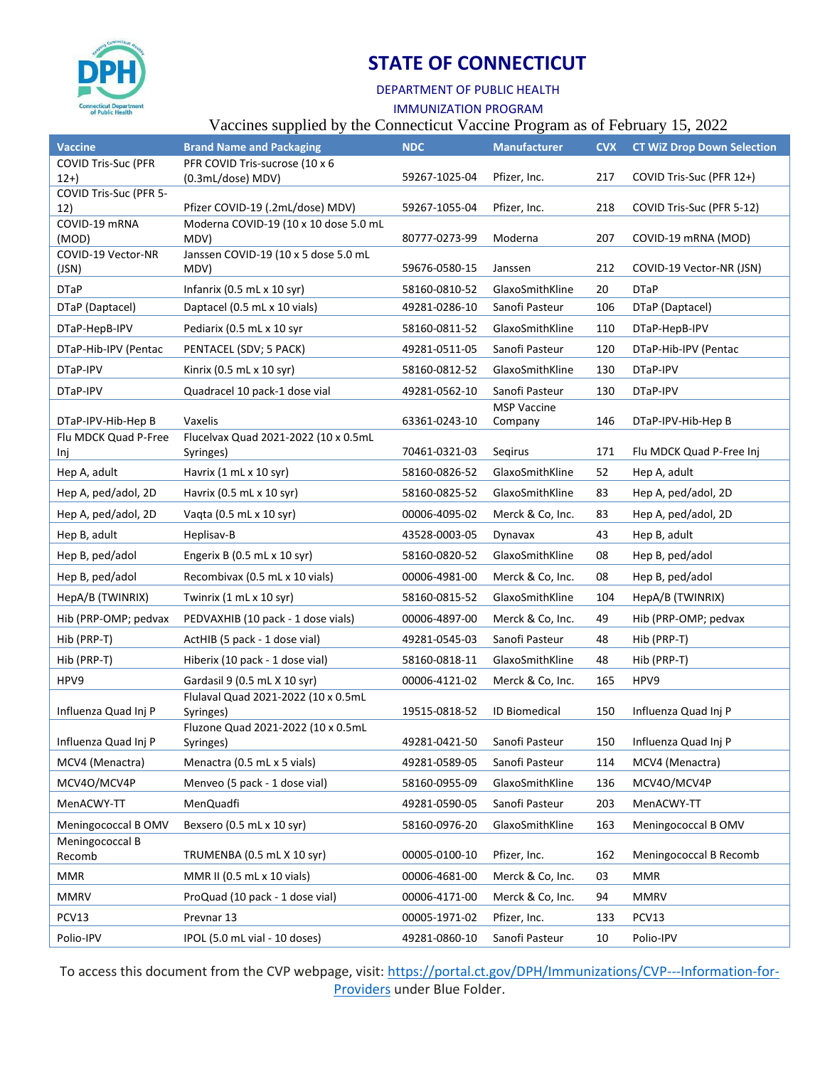

# **STATE OF CONNECTICUT**

### DEPARTMENT OF PUBLIC HEALTH

IMMUNIZATION PROGRAM

### Vaccines supplied by the Connecticut Vaccine Program as of February 15, 2022

| <b>Vaccine</b>                   | <b>Brand Name and Packaging</b>                   | <b>NDC</b>    | <b>Manufacturer</b>           | <b>CVX</b> | <b>CT WiZ Drop Down Selection</b> |
|----------------------------------|---------------------------------------------------|---------------|-------------------------------|------------|-----------------------------------|
| <b>COVID Tris-Suc (PFR</b>       | PFR COVID Tris-sucrose (10 x 6                    |               |                               |            |                                   |
| $12+)$<br>COVID Tris-Suc (PFR 5- | (0.3mL/dose) MDV)                                 | 59267-1025-04 | Pfizer, Inc.                  | 217        | COVID Tris-Suc (PFR 12+)          |
| 12)                              | Pfizer COVID-19 (.2mL/dose) MDV)                  | 59267-1055-04 | Pfizer, Inc.                  | 218        | COVID Tris-Suc (PFR 5-12)         |
| COVID-19 mRNA<br>(MOD)           | Moderna COVID-19 (10 x 10 dose 5.0 mL<br>MDV)     | 80777-0273-99 | Moderna                       | 207        | COVID-19 mRNA (MOD)               |
| COVID-19 Vector-NR<br>(JSN)      | Janssen COVID-19 (10 x 5 dose 5.0 mL<br>MDV)      | 59676-0580-15 | Janssen                       | 212        | COVID-19 Vector-NR (JSN)          |
| <b>DTaP</b>                      | Infanrix (0.5 mL x 10 syr)                        | 58160-0810-52 | GlaxoSmithKline               | 20         | <b>DTaP</b>                       |
| DTaP (Daptacel)                  | Daptacel (0.5 mL x 10 vials)                      | 49281-0286-10 | Sanofi Pasteur                | 106        | DTaP (Daptacel)                   |
| DTaP-HepB-IPV                    | Pediarix (0.5 mL x 10 syr                         | 58160-0811-52 | GlaxoSmithKline               | 110        | DTaP-HepB-IPV                     |
| DTaP-Hib-IPV (Pentac             | PENTACEL (SDV; 5 PACK)                            | 49281-0511-05 | Sanofi Pasteur                | 120        | DTaP-Hib-IPV (Pentac              |
| DTaP-IPV                         | Kinrix (0.5 mL x 10 syr)                          | 58160-0812-52 | GlaxoSmithKline               | 130        | DTaP-IPV                          |
| DTaP-IPV                         | Quadracel 10 pack-1 dose vial                     | 49281-0562-10 | Sanofi Pasteur                | 130        | DTaP-IPV                          |
| DTaP-IPV-Hib-Hep B               | Vaxelis                                           | 63361-0243-10 | <b>MSP Vaccine</b><br>Company | 146        | DTaP-IPV-Hib-Hep B                |
| Flu MDCK Quad P-Free<br>Inj      | Flucelvax Quad 2021-2022 (10 x 0.5mL<br>Syringes) | 70461-0321-03 | Segirus                       | 171        | Flu MDCK Quad P-Free Inj          |
| Hep A, adult                     | Havrix (1 mL x 10 syr)                            | 58160-0826-52 | GlaxoSmithKline               | 52         | Hep A, adult                      |
| Hep A, ped/adol, 2D              | Havrix (0.5 mL x 10 syr)                          | 58160-0825-52 | GlaxoSmithKline               | 83         | Hep A, ped/adol, 2D               |
| Hep A, ped/adol, 2D              | Vaqta (0.5 mL x 10 syr)                           | 00006-4095-02 | Merck & Co, Inc.              | 83         | Hep A, ped/adol, 2D               |
| Hep B, adult                     | Heplisav-B                                        | 43528-0003-05 | Dynavax                       | 43         | Hep B, adult                      |
| Hep B, ped/adol                  | Engerix B (0.5 mL x 10 syr)                       | 58160-0820-52 | GlaxoSmithKline               | 08         | Hep B, ped/adol                   |
| Hep B, ped/adol                  | Recombivax (0.5 mL x 10 vials)                    | 00006-4981-00 | Merck & Co, Inc.              | 08         | Hep B, ped/adol                   |
| HepA/B (TWINRIX)                 | Twinrix (1 mL x 10 syr)                           | 58160-0815-52 | GlaxoSmithKline               | 104        | HepA/B (TWINRIX)                  |
| Hib (PRP-OMP; pedvax             | PEDVAXHIB (10 pack - 1 dose vials)                | 00006-4897-00 | Merck & Co, Inc.              | 49         | Hib (PRP-OMP; pedvax              |
| Hib (PRP-T)                      | ActHIB (5 pack - 1 dose vial)                     | 49281-0545-03 | Sanofi Pasteur                | 48         | Hib (PRP-T)                       |
| Hib (PRP-T)                      | Hiberix (10 pack - 1 dose vial)                   | 58160-0818-11 | GlaxoSmithKline               | 48         | Hib (PRP-T)                       |
| HPV9                             | Gardasil 9 (0.5 mL X 10 syr)                      | 00006-4121-02 | Merck & Co, Inc.              | 165        | HPV9                              |
| Influenza Quad Inj P             | Flulaval Quad 2021-2022 (10 x 0.5mL<br>Syringes)  | 19515-0818-52 | ID Biomedical                 | 150        | Influenza Quad Inj P              |
| Influenza Quad Inj P             | Fluzone Quad 2021-2022 (10 x 0.5mL<br>Syringes)   | 49281-0421-50 | Sanofi Pasteur                | 150        | Influenza Quad Inj P              |
| MCV4 (Menactra)                  | Menactra (0.5 mL x 5 vials)                       | 49281-0589-05 | Sanofi Pasteur                | 114        | MCV4 (Menactra)                   |
| MCV4O/MCV4P                      | Menveo (5 pack - 1 dose vial)                     | 58160-0955-09 | GlaxoSmithKline               | 136        | MCV4O/MCV4P                       |
| MenACWY-TT                       | MenQuadfi                                         | 49281-0590-05 | Sanofi Pasteur                | 203        | MenACWY-TT                        |
| Meningococcal B OMV              | Bexsero (0.5 mL x 10 syr)                         | 58160-0976-20 | GlaxoSmithKline               | 163        | Meningococcal B OMV               |
| Meningococcal B<br>Recomb        | TRUMENBA (0.5 mL X 10 syr)                        | 00005-0100-10 | Pfizer, Inc.                  | 162        | Meningococcal B Recomb            |
| <b>MMR</b>                       | MMR II (0.5 mL x 10 vials)                        | 00006-4681-00 | Merck & Co, Inc.              | 03         | <b>MMR</b>                        |
| <b>MMRV</b>                      | ProQuad (10 pack - 1 dose vial)                   | 00006-4171-00 | Merck & Co, Inc.              | 94         | <b>MMRV</b>                       |
| PCV13                            | Prevnar 13                                        | 00005-1971-02 | Pfizer, Inc.                  | 133        | PCV13                             |
| Polio-IPV                        | IPOL (5.0 mL vial - 10 doses)                     | 49281-0860-10 | Sanofi Pasteur                | 10         | Polio-IPV                         |

To access this document from the CVP webpage, visit: [https://portal.ct.gov/DPH/Immunizations/CVP---Information-for-](https://portal.ct.gov/DPH/Immunizations/CVP---Information-for-Providers)[Providers](https://portal.ct.gov/DPH/Immunizations/CVP---Information-for-Providers) under Blue Folder.